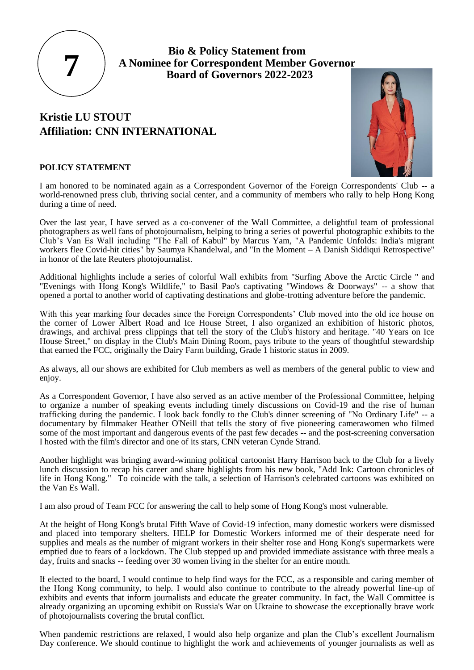

**Bio & Policy Statement from A Nominee for Correspondent Member Governor Board of Governors 2022-2023**

## **Kristie LU STOUT Affiliation: CNN INTERNATIONAL**



## **POLICY STATEMENT**

I am honored to be nominated again as a Correspondent Governor of the Foreign Correspondents' Club -- a world-renowned press club, thriving social center, and a community of members who rally to help Hong Kong during a time of need.

Over the last year, I have served as a co-convener of the Wall Committee, a delightful team of professional photographers as well fans of photojournalism, helping to bring a series of powerful photographic exhibits to the Club's Van Es Wall including "The Fall of Kabul" by Marcus Yam, "A Pandemic Unfolds: India's migrant workers flee Covid-hit cities" by Saumya Khandelwal, and "In the Moment – A Danish Siddiqui Retrospective" in honor of the late Reuters photojournalist.

Additional highlights include a series of colorful Wall exhibits from "Surfing Above the Arctic Circle " and "Evenings with Hong Kong's Wildlife," to Basil Pao's captivating "Windows & Doorways" -- a show that opened a portal to another world of captivating destinations and globe-trotting adventure before the pandemic.

With this year marking four decades since the Foreign Correspondents' Club moved into the old ice house on the corner of Lower Albert Road and Ice House Street, I also organized an exhibition of historic photos, drawings, and archival press clippings that tell the story of the Club's history and heritage. "40 Years on Ice House Street," on display in the Club's Main Dining Room, pays tribute to the years of thoughtful stewardship that earned the FCC, originally the Dairy Farm building, Grade 1 historic status in 2009.

As always, all our shows are exhibited for Club members as well as members of the general public to view and enjoy.

As a Correspondent Governor, I have also served as an active member of the Professional Committee, helping to organize a number of speaking events including timely discussions on Covid-19 and the rise of human trafficking during the pandemic. I look back fondly to the Club's dinner screening of "No Ordinary Life" -- a documentary by filmmaker Heather O'Neill that tells the story of five pioneering camerawomen who filmed some of the most important and dangerous events of the past few decades -- and the post-screening conversation I hosted with the film's director and one of its stars, CNN veteran Cynde Strand.

Another highlight was bringing award-winning political cartoonist Harry Harrison back to the Club for a lively lunch discussion to recap his career and share highlights from his new book, "Add Ink: Cartoon chronicles of life in Hong Kong." To coincide with the talk, a selection of Harrison's celebrated cartoons was exhibited on the Van Es Wall.

I am also proud of Team FCC for answering the call to help some of Hong Kong's most vulnerable.

At the height of Hong Kong's brutal Fifth Wave of Covid-19 infection, many domestic workers were dismissed and placed into temporary shelters. HELP for Domestic Workers informed me of their desperate need for supplies and meals as the number of migrant workers in their shelter rose and Hong Kong's supermarkets were emptied due to fears of a lockdown. The Club stepped up and provided immediate assistance with three meals a day, fruits and snacks -- feeding over 30 women living in the shelter for an entire month.

If elected to the board, I would continue to help find ways for the FCC, as a responsible and caring member of the Hong Kong community, to help. I would also continue to contribute to the already powerful line-up of exhibits and events that inform journalists and educate the greater community. In fact, the Wall Committee is already organizing an upcoming exhibit on Russia's War on Ukraine to showcase the exceptionally brave work of photojournalists covering the brutal conflict.

When pandemic restrictions are relaxed, I would also help organize and plan the Club's excellent Journalism Day conference. We should continue to highlight the work and achievements of younger journalists as well as